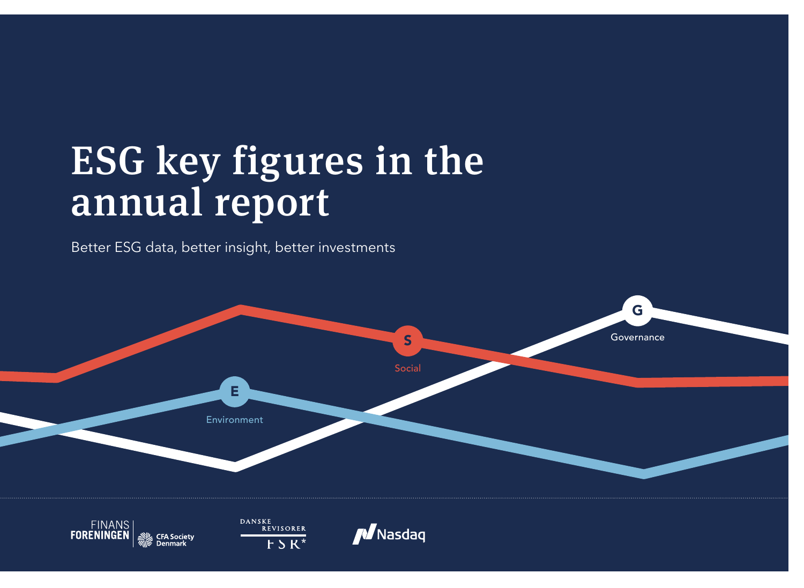# ESG key figures in the annual report

Better ESG data, better insight, better investments

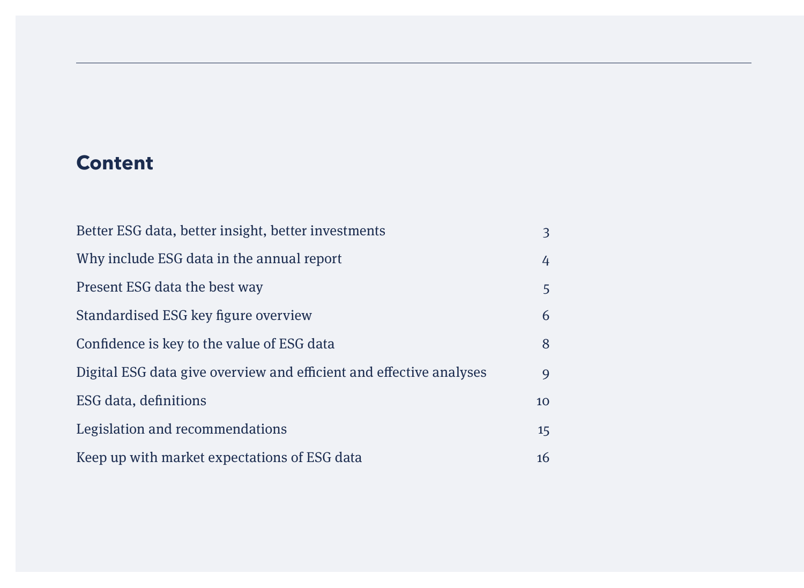## **Content**

| Better ESG data, better insight, better investments                 |    |  |
|---------------------------------------------------------------------|----|--|
| Why include ESG data in the annual report                           |    |  |
| Present ESG data the best way                                       | 5  |  |
| Standardised ESG key figure overview                                | 6  |  |
| Confidence is key to the value of ESG data                          | 8  |  |
| Digital ESG data give overview and efficient and effective analyses | 9  |  |
| ESG data, definitions                                               | 10 |  |
| Legislation and recommendations                                     | 15 |  |
| Keep up with market expectations of ESG data                        | 16 |  |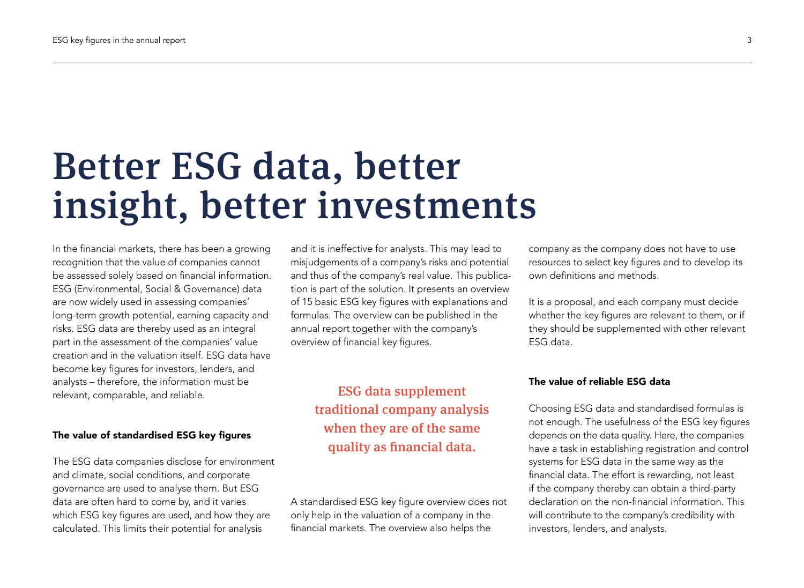## Better ESG data, better insight, better investments

In the financial markets, there has been a growing recognition that the value of companies cannot be assessed solely based on financial information. ESG (Environmental, Social & Governance) data are now widely used in assessing companies' long-term growth potential, earning capacity and risks. ESG data are thereby used as an integral part in the assessment of the companies' value creation and in the valuation itself. ESG data have become key figures for investors, lenders, and analysts – therefore, the information must be relevant, comparable, and reliable.

#### The value of standardised ESG key figures

The ESG data companies disclose for environment and climate, social conditions, and corporate governance are used to analyse them. But ESG data are often hard to come by, and it varies which ESG key figures are used, and how they are calculated. This limits their potential for analysis

and it is ineffective for analysts. This may lead to misjudgements of a company's risks and potential and thus of the company's real value. This publication is part of the solution. It presents an overview of 15 basic ESG key figures with explanations and formulas. The overview can be published in the annual report together with the company's overview of financial key figures.

## ESG data supplement traditional company analysis when they are of the same quality as financial data.

A standardised ESG key figure overview does not only help in the valuation of a company in the financial markets. The overview also helps the

company as the company does not have to use resources to select key figures and to develop its own definitions and methods.

It is a proposal, and each company must decide whether the key figures are relevant to them, or if they should be supplemented with other relevant ESG data.

#### The value of reliable ESG data

Choosing ESG data and standardised formulas is not enough. The usefulness of the ESG key figures depends on the data quality. Here, the companies have a task in establishing registration and control systems for ESG data in the same way as the financial data. The effort is rewarding, not least if the company thereby can obtain a third-party declaration on the non-financial information. This will contribute to the company's credibility with investors, lenders, and analysts.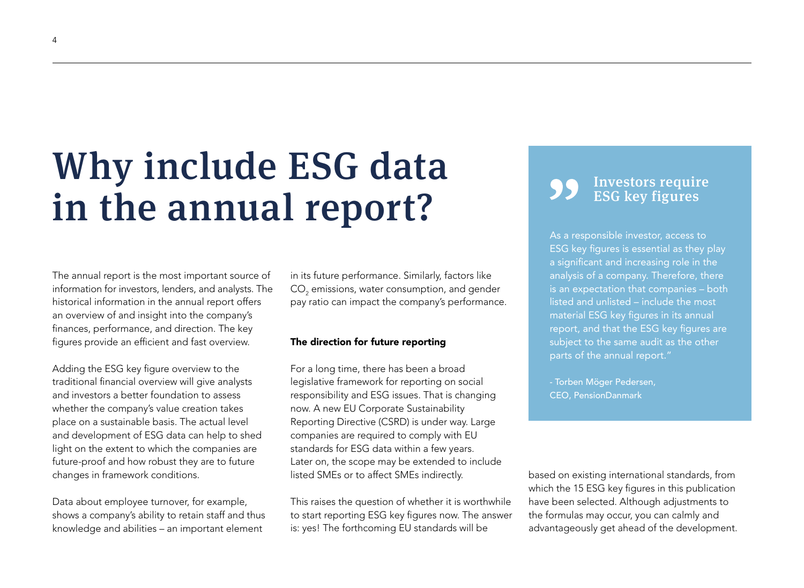# Why include ESG data in the annual report?

The annual report is the most important source of information for investors, lenders, and analysts. The historical information in the annual report offers an overview of and insight into the company's finances, performance, and direction. The key figures provide an efficient and fast overview.

Adding the ESG key figure overview to the traditional financial overview will give analysts and investors a better foundation to assess whether the company's value creation takes place on a sustainable basis. The actual level and development of ESG data can help to shed light on the extent to which the companies are future-proof and how robust they are to future changes in framework conditions.

Data about employee turnover, for example, shows a company's ability to retain staff and thus knowledge and abilities – an important element

in its future performance. Similarly, factors like  $\mathsf{CO}_2$  emissions, water consumption, and gender pay ratio can impact the company's performance.

#### The direction for future reporting

For a long time, there has been a broad legislative framework for reporting on social responsibility and ESG issues. That is changing now. A new EU Corporate Sustainability Reporting Directive (CSRD) is under way. Large companies are required to comply with EU standards for ESG data within a few years. Later on, the scope may be extended to include listed SMEs or to affect SMEs indirectly.

This raises the question of whether it is worthwhile to start reporting ESG key figures now. The answer is: yes! The forthcoming EU standards will be

### Investors require ESG key figures

As a responsible investor, access to ESG key figures is essential as they play a significant and increasing role in the analysis of a company. Therefore, there is an expectation that companies – both listed and unlisted – include the most material ESG key figures in its annual report, and that the ESG key figures are subject to the same audit as the other parts of the annual report."

- Torben Möger Pedersen, CEO, PensionDanmark

based on existing international standards, from which the 15 ESG key figures in this publication have been selected. Although adjustments to the formulas may occur, you can calmly and advantageously get ahead of the development.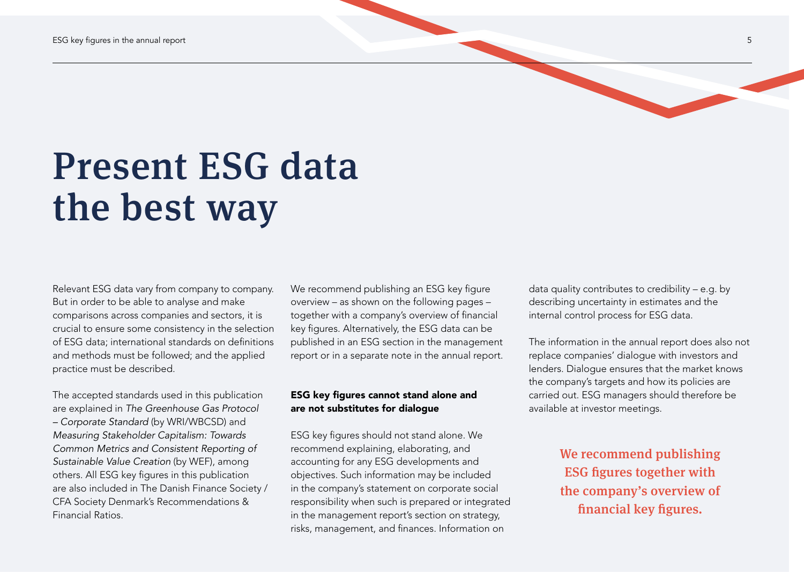

Relevant ESG data vary from company to company. But in order to be able to analyse and make comparisons across companies and sectors, it is crucial to ensure some consistency in the selection of ESG data; international standards on definitions and methods must be followed; and the applied practice must be described.

The accepted standards used in this publication are explained in *The Greenhouse Gas Protocol – Corporate Standard* (by WRI/WBCSD) and *Measuring Stakeholder Capitalism: Towards Common Metrics and Consistent Reporting of Sustainable Value Creation* (by WEF), among others. All ESG key figures in this publication are also included in The Danish Finance Society / CFA Society Denmark's Recommendations & Financial Ratios.

We recommend publishing an ESG key figure overview – as shown on the following pages – together with a company's overview of financial key figures. Alternatively, the ESG data can be published in an ESG section in the management report or in a separate note in the annual report.

#### ESG key figures cannot stand alone and are not substitutes for dialogue

ESG key figures should not stand alone. We recommend explaining, elaborating, and accounting for any ESG developments and objectives. Such information may be included in the company's statement on corporate social responsibility when such is prepared or integrated in the management report's section on strategy, risks, management, and finances. Information on

data quality contributes to credibility – e.g. by describing uncertainty in estimates and the internal control process for ESG data.

The information in the annual report does also not replace companies' dialogue with investors and lenders. Dialogue ensures that the market knows the company's targets and how its policies are carried out. ESG managers should therefore be available at investor meetings.

> We recommend publishing ESG figures together with the company's overview of financial key figures.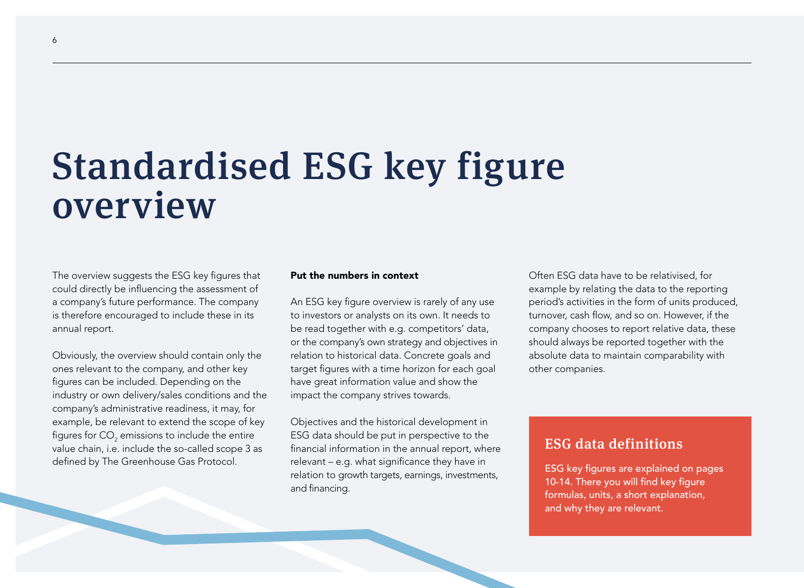## Standardised ESG key figure overview

The overview suggests the ESG key figures that could directly be influencing the assessment of a company's future performance. The company is therefore encouraged to include these in its annual report.

Obviously, the overview should contain only the ones relevant to the company, and other key figures can be included. Depending on the industry or own delivery/sales conditions and the company's administrative readiness, it may, for example, be relevant to extend the scope of key figures for CO $_{\textrm{\tiny{2}}}$  emissions to include the entire value chain, i.e. include the so-called scope 3 as defined by The Greenhouse Gas Protocol.

#### Put the numbers in context

An ESG key figure overview is rarely of any use to investors or analysts on its own. It needs to be read together with e.g. competitors' data, or the company's own strategy and objectives in relation to historical data. Concrete goals and target figures with a time horizon for each goal have great information value and show the impact the company strives towards.

Objectives and the historical development in ESG data should be put in perspective to the financial information in the annual report, where relevant – e.g. what significance they have in relation to growth targets, earnings, investments, and financing.

Often ESG data have to be relativised, for example by relating the data to the reporting period's activities in the form of units produced, turnover, cash flow, and so on. However, if the company chooses to report relative data, these should always be reported together with the absolute data to maintain comparability with other companies.

### ESG data definitions

ESG key figures are explained on pages 10-14. There you will find key figure formulas, units, a short explanation, and why they are relevant.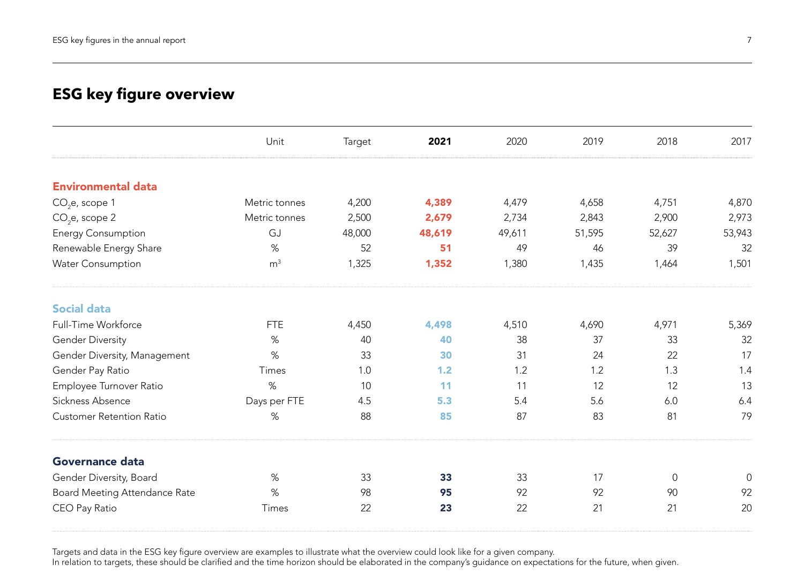## **ESG key figure overview**

|                                 | Unit           | Target | 2021   | 2020   | 2019   | 2018                | 2017   |
|---------------------------------|----------------|--------|--------|--------|--------|---------------------|--------|
| <b>Environmental data</b>       |                |        |        |        |        |                     |        |
| $CO2e$ , scope 1                | Metric tonnes  | 4,200  | 4,389  | 4,479  | 4,658  | 4,751               | 4,870  |
| $CO2e$ , scope 2                | Metric tonnes  | 2,500  | 2,679  | 2,734  | 2,843  | 2,900               | 2,973  |
| <b>Energy Consumption</b>       | GJ             | 48,000 | 48,619 | 49,611 | 51,595 | 52,627              | 53,943 |
| Renewable Energy Share          | %              | 52     | 51     | 49     | 46     | 39                  | 32     |
| <b>Water Consumption</b>        | m <sup>3</sup> | 1,325  | 1,352  | 1,380  | 1,435  | 1,464               | 1,501  |
| <b>Social data</b>              |                |        |        |        |        |                     |        |
| Full-Time Workforce             | <b>FTE</b>     | 4,450  | 4,498  | 4,510  | 4,690  | 4,971               | 5,369  |
| <b>Gender Diversity</b>         | %              | 40     | 40     | 38     | 37     | 33                  | 32     |
| Gender Diversity, Management    | $\%$           | 33     | 30     | 31     | 24     | 22                  | 17     |
| Gender Pay Ratio                | Times          | 1.0    | 1.2    | 1.2    | 1.2    | 1.3                 | 1.4    |
| Employee Turnover Ratio         | $\%$           | 10     | 11     | 11     | 12     | 12                  | 13     |
| Sickness Absence                | Days per FTE   | 4.5    | 5.3    | 5.4    | 5.6    | 6.0                 | 6.4    |
| <b>Customer Retention Ratio</b> | %              | 88     | 85     | 87     | 83     | 81                  | 79     |
| Governance data                 |                |        |        |        |        |                     |        |
| Gender Diversity, Board         | $\%$           | 33     | 33     | 33     | 17     | $\mathsf{O}\xspace$ | 0      |
| Board Meeting Attendance Rate   | %              | 98     | 95     | 92     | 92     | 90                  | 92     |
| CEO Pay Ratio                   | Times          | 22     | 23     | 22     | 21     | 21                  | 20     |

Targets and data in the ESG key figure overview are examples to illustrate what the overview could look like for a given company.

In relation to targets, these should be clarified and the time horizon should be elaborated in the company's guidance on expectations for the future, when given.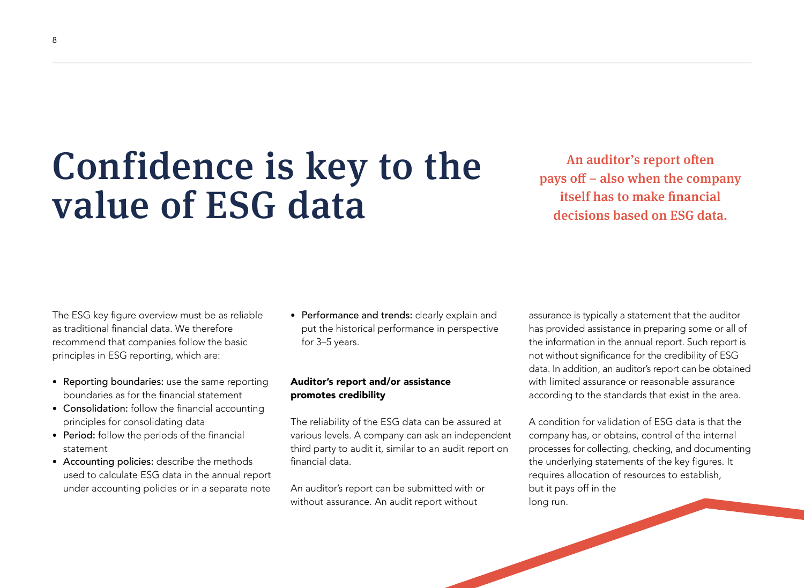## Confidence is key to the value of ESG data

An auditor's report often pays off – also when the company itself has to make financial decisions based on ESG data.

The ESG key figure overview must be as reliable as traditional financial data. We therefore recommend that companies follow the basic principles in ESG reporting, which are:

- Reporting boundaries: use the same reporting boundaries as for the financial statement
- Consolidation: follow the financial accounting principles for consolidating data
- Period: follow the periods of the financial statement
- Accounting policies: describe the methods used to calculate ESG data in the annual report under accounting policies or in a separate note

• Performance and trends: clearly explain and put the historical performance in perspective for 3–5 years.

#### Auditor's report and/or assistance promotes credibility

The reliability of the ESG data can be assured at various levels. A company can ask an independent third party to audit it, similar to an audit report on financial data.

An auditor's report can be submitted with or without assurance. An audit report without

assurance is typically a statement that the auditor has provided assistance in preparing some or all of the information in the annual report. Such report is not without significance for the credibility of ESG data. In addition, an auditor's report can be obtained with limited assurance or reasonable assurance according to the standards that exist in the area.

A condition for validation of ESG data is that the company has, or obtains, control of the internal processes for collecting, checking, and documenting the underlying statements of the key figures. It requires allocation of resources to establish, but it pays off in the long run.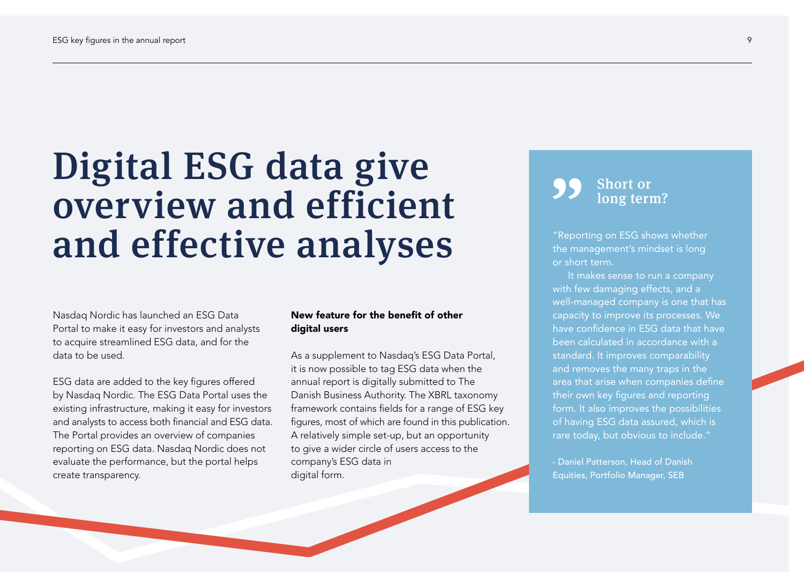## Digital ESG data give overview and efficient and effective analyses

Nasdaq Nordic has launched an ESG Data Portal to make it easy for investors and analysts to acquire streamlined ESG data, and for the data to be used.

ESG data are added to the key figures offered by Nasdaq Nordic. The ESG Data Portal uses the existing infrastructure, making it easy for investors and analysts to access both financial and ESG data. The Portal provides an overview of companies reporting on ESG data. Nasdaq Nordic does not evaluate the performance, but the portal helps create transparency.

#### New feature for the benefit of other digital users

As a supplement to Nasdaq's ESG Data Portal, it is now possible to tag ESG data when the annual report is digitally submitted to The Danish Business Authority. The XBRL taxonomy framework contains fields for a range of ESG key figures, most of which are found in this publication. A relatively simple set-up, but an opportunity to give a wider circle of users access to the company's ESG data in digital form.



"Reporting on ESG shows whether the management's mindset is long or short term.

It makes sense to run a company with few damaging effects, and a well-managed company is one that has capacity to improve its processes. We have confidence in ESG data that have been calculated in accordance with a standard. It improves comparability and removes the many traps in the area that arise when companies define their own key figures and reporting form. It also improves the possibilities of having ESG data assured, which is rare today, but obvious to include."

- Daniel Patterson, Head of Danish Equities, Portfolio Manager, SEB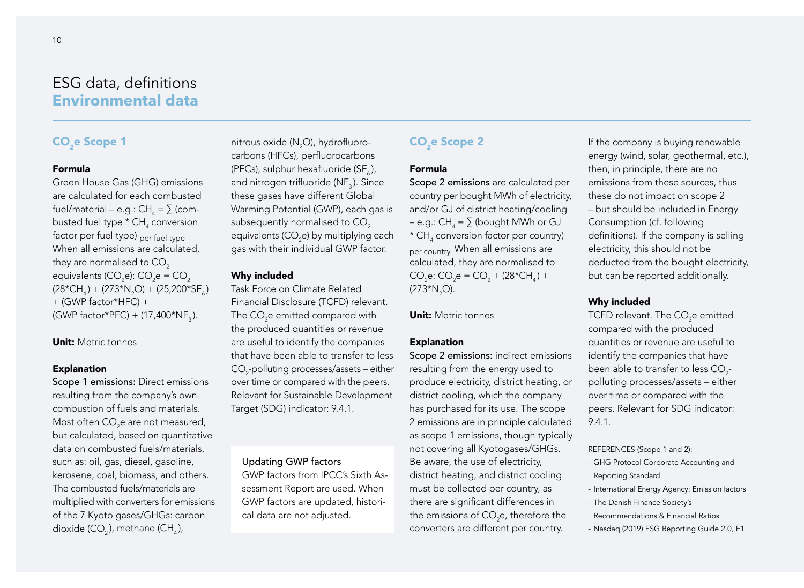### ESG data, definitions **Environmental data**

### CO<sub>2</sub>e Scope 1

#### Formula

Green House Gas (GHG) emissions are calculated for each combusted fuel/material – e.g.: CH $_{_4}$  =  $\sum$  (combusted fuel type \* CH $_{\textrm{\tiny{4}}}$  conversion factor per fuel type) per fuel type When all emissions are calculated, they are normalised to CO<sub>2</sub> equivalents (CO<sub>2</sub>e): CO<sub>2</sub>e = CO<sub>2</sub> +  $(28*CH<sub>4</sub>) + (273*N<sub>2</sub>O) + (25,200*SF<sub>6</sub>)$ + (GWP factor\*HFC) +  $(GWP factor*PFC) + (17,400*NF_5)$ .

#### Unit: Metric tonnes

#### Explanation

Scope 1 emissions: Direct emissions resulting from the company's own combustion of fuels and materials. Most often CO $_2$ e are not measured, but calculated, based on quantitative data on combusted fuels/materials, such as: oil, gas, diesel, gasoline, kerosene, coal, biomass, and others. The combusted fuels/materials are multiplied with converters for emissions of the 7 Kyoto gases/GHGs: carbon dioxide (CO<sub>2</sub>), methane (CH<sub>4</sub>),

nitrous oxide ( $\mathsf{N}_2\mathsf{O}$ ), hydrofluorocarbons (HFCs), perfluorocarbons (PFCs), sulphur hexafluoride (SF, ), and nitrogen trifluoride (NF<sub>3</sub>). Since these gases have different Global Warming Potential (GWP), each gas is subsequently normalised to CO<sub>2</sub> equivalents (CO<sub>2</sub>e) by multiplying each gas with their individual GWP factor.

#### Why included

Task Force on Climate Related Financial Disclosure (TCFD) relevant. The CO $_2$ e emitted compared with the produced quantities or revenue are useful to identify the companies that have been able to transfer to less  $\mathsf{CO}_2$ -polluting processes/assets – either over time or compared with the peers. Relevant for Sustainable Development Target (SDG) indicator: 9.4.1.

#### Updating GWP factors

GWP factors from IPCC's Sixth Assessment Report are used. When GWP factors are updated, historical data are not adjusted.

#### CO<sub>2</sub>e Scope 2

#### Formula

Scope 2 emissions are calculated per country per bought MWh of electricity, and/or GJ of district heating/cooling – e.g.: CH<sub>4</sub> =  $\sum$  (bought MWh or GJ  $^{\star}$  CH $_{\textrm{\tiny{4}}}$  conversion factor per country) per country. When all emissions are calculated, they are normalised to  $CO_2$ e:  $CO_2$ e =  $CO_2$  + (28\*CH<sub>4</sub>) +  $(273*N<sub>2</sub>O)$ .

Unit: Metric tonnes

#### Explanation

Scope 2 emissions: indirect emissions resulting from the energy used to produce electricity, district heating, or district cooling, which the company has purchased for its use. The scope 2 emissions are in principle calculated as scope 1 emissions, though typically not covering all Kyotogases/GHGs. Be aware, the use of electricity, district heating, and district cooling must be collected per country, as there are significant differences in the emissions of CO<sub>2</sub>e, therefore the converters are different per country.

If the company is buying renewable energy (wind, solar, geothermal, etc.), then, in principle, there are no emissions from these sources, thus these do not impact on scope 2 – but should be included in Energy Consumption (cf. following definitions). If the company is selling electricity, this should not be deducted from the bought electricity, but can be reported additionally.

#### Why included

TCFD relevant. The CO<sub>2</sub>e emitted compared with the produced quantities or revenue are useful to identify the companies that have been able to transfer to less  $\mathsf{CO}_{2}$ polluting processes/assets – either over time or compared with the peers. Relevant for SDG indicator: 9.4.1.

REFERENCES (Scope 1 and 2):

- GHG Protocol Corporate Accounting and Reporting Standard
- International Energy Agency: Emission factors
- The Danish Finance Society's Recommendations & Financial Ratios
- Nasdaq (2019) ESG Reporting Guide 2.0, E1.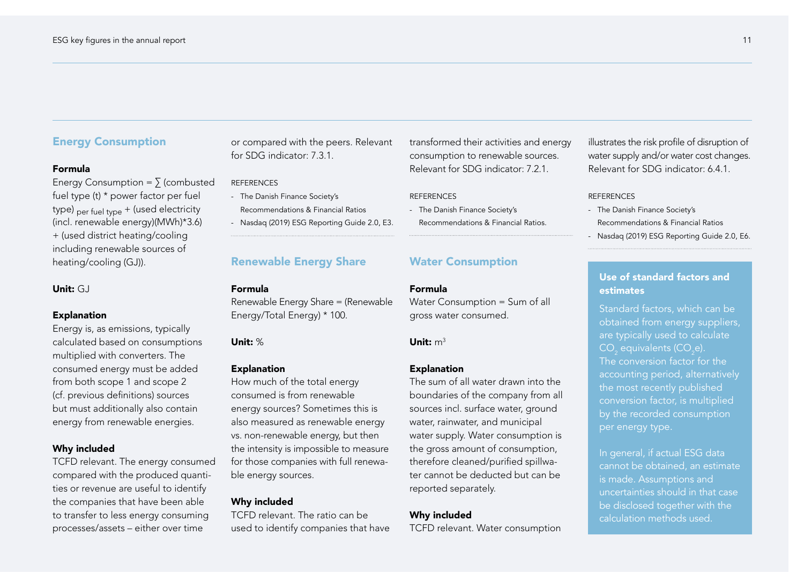#### Energy Consumption

#### Formula

Energy Consumption =  $\sum$  (combusted fuel type (t) \* power factor per fuel type)  $_{\text{per fuel two}}$  + (used electricity (incl. renewable energy)(MWh)\*3.6) + (used district heating/cooling including renewable sources of heating/cooling (GJ)).

#### Unit: GJ

#### Explanation

Energy is, as emissions, typically calculated based on consumptions multiplied with converters. The consumed energy must be added from both scope 1 and scope 2 (cf. previous definitions) sources but must additionally also contain energy from renewable energies.

#### Why included

TCFD relevant. The energy consumed compared with the produced quantities or revenue are useful to identify the companies that have been able to transfer to less energy consuming processes/assets – either over time

or compared with the peers. Relevant for SDG indicator: 7.3.1.

#### REFERENCES

- The Danish Finance Society's Recommendations & Financial Ratios
- Nasdaq (2019) ESG Reporting Guide 2.0, E3.

### Renewable Energy Share

#### Formula

Renewable Energy Share = (Renewable Energy/Total Energy) \* 100.

#### Unit: %

#### Explanation

How much of the total energy consumed is from renewable energy sources? Sometimes this is also measured as renewable energy vs. non-renewable energy, but then the intensity is impossible to measure for those companies with full renewable energy sources.

#### Why included

TCFD relevant. The ratio can be used to identify companies that have transformed their activities and energy consumption to renewable sources. Relevant for SDG indicator: 7.2.1.

#### **REFERENCES**

- The Danish Finance Society's
- Recommendations & Financial Ratios.

#### Water Consumption

#### Formula

Water Consumption = Sum of all gross water consumed.

#### Unit:  $m<sup>3</sup>$

#### **Explanation**

The sum of all water drawn into the boundaries of the company from all sources incl. surface water, ground water, rainwater, and municipal water supply. Water consumption is the gross amount of consumption, therefore cleaned/purified spillwater cannot be deducted but can be reported separately.

#### Why included

TCFD relevant. Water consumption

illustrates the risk profile of disruption of water supply and/or water cost changes. Relevant for SDG indicator: 6.4.1.

#### **REFERENCES**

- The Danish Finance Society's Recommendations & Financial Ratios
- Nasdaq (2019) ESG Reporting Guide 2.0, E6.

#### Use of standard factors and estimates

Standard factors, which can be obtained from energy suppliers, are typically used to calculate  $CO<sub>2</sub>$  equivalents (CO<sub>2</sub>e). The conversion factor for the accounting period, alternatively the most recently published conversion factor, is multiplied by the recorded consumption per energy type.

In general, if actual ESG data cannot be obtained, an estimate is made. Assumptions and uncertainties should in that case be disclosed together with the calculation methods used.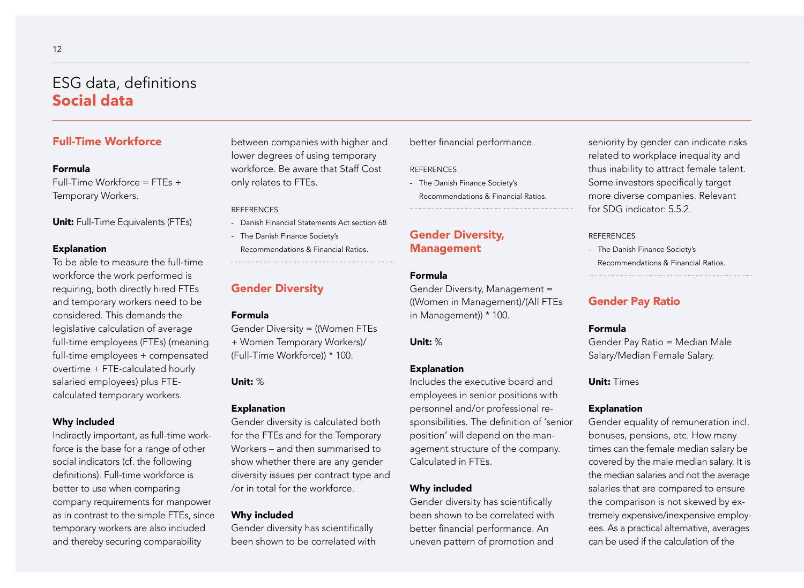### ESG data, definitions **Social data**

#### Full-Time Workforce

#### Formula

 $Full-Time Workforce = FTFs +$ Temporary Workers.

Unit: Full-Time Equivalents (FTEs)

#### **Explanation**

To be able to measure the full-time workforce the work performed is requiring, both directly hired FTEs and temporary workers need to be considered. This demands the legislative calculation of average full-time employees (FTEs) (meaning full-time employees + compensated overtime + FTE-calculated hourly salaried employees) plus FTEcalculated temporary workers.

#### Why included

Indirectly important, as full-time workforce is the base for a range of other social indicators (cf. the following definitions). Full-time workforce is better to use when comparing company requirements for manpower as in contrast to the simple FTEs, since temporary workers are also included and thereby securing comparability

between companies with higher and lower degrees of using temporary workforce. Be aware that Staff Cost only relates to FTEs.

#### **REFERENCES**

- Danish Financial Statements Act section 68
- The Danish Finance Society's
	- Recommendations & Financial Ratios.

#### Gender Diversity

#### Formula

Gender Diversity = ((Women FTEs + Women Temporary Workers)/ (Full-Time Workforce)) \* 100.

#### Unit: %

#### Explanation

Gender diversity is calculated both for the FTEs and for the Temporary Workers – and then summarised to show whether there are any gender diversity issues per contract type and /or in total for the workforce.

#### Why included

Gender diversity has scientifically been shown to be correlated with better financial performance.

#### REFERENCES

- The Danish Finance Society's Recommendations & Financial Ratios.

#### Gender Diversity, Management

#### Formula

Gender Diversity, Management = ((Women in Management)/(All FTEs in Management)) \* 100.

#### Unit: %

#### **Explanation**

Includes the executive board and employees in senior positions with personnel and/or professional responsibilities. The definition of 'senior position' will depend on the management structure of the company. Calculated in FTEs.

#### Why included

Gender diversity has scientifically been shown to be correlated with better financial performance. An uneven pattern of promotion and

seniority by gender can indicate risks related to workplace inequality and thus inability to attract female talent. Some investors specifically target more diverse companies. Relevant for SDG indicator: 5.5.2.

#### **REFERENCES**

- The Danish Finance Society's Recommendations & Financial Ratios.

#### Gender Pay Ratio

#### Formula

Gender Pay Ratio = Median Male Salary/Median Female Salary.

#### Unit: Times

#### Explanation

Gender equality of remuneration incl. bonuses, pensions, etc. How many times can the female median salary be covered by the male median salary. It is the median salaries and not the average salaries that are compared to ensure the comparison is not skewed by extremely expensive/inexpensive employees. As a practical alternative, averages can be used if the calculation of the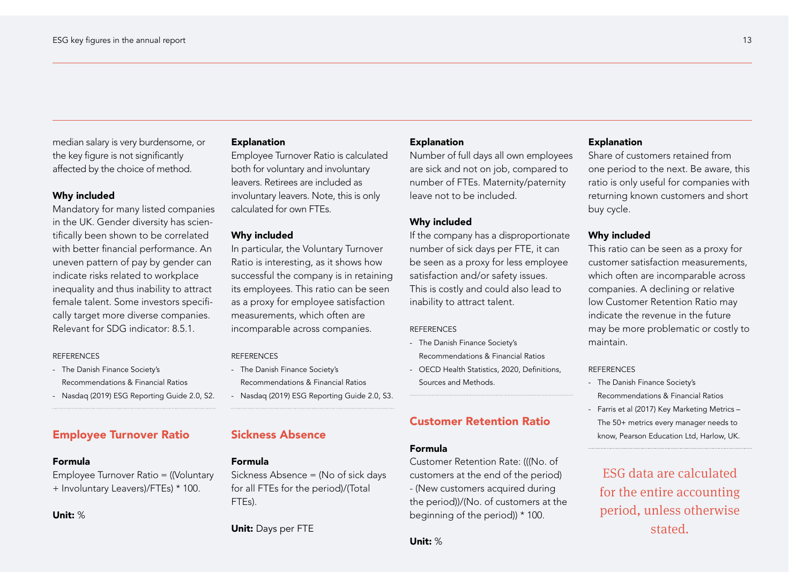median salary is very burdensome, or the key figure is not significantly affected by the choice of method.

#### Why included

Mandatory for many listed companies in the UK. Gender diversity has scientifically been shown to be correlated with better financial performance. An uneven pattern of pay by gender can indicate risks related to workplace inequality and thus inability to attract female talent. Some investors specifically target more diverse companies. Relevant for SDG indicator: 8.5.1.

#### REFERENCES

- The Danish Finance Society's Recommendations & Financial Ratios

- Nasdaq (2019) ESG Reporting Guide 2.0, S2.

#### Employee Turnover Ratio

#### Formula

Employee Turnover Ratio = ((Voluntary + Involuntary Leavers)/FTEs) \* 100.

Unit: %

#### Explanation

Employee Turnover Ratio is calculated both for voluntary and involuntary leavers. Retirees are included as involuntary leavers. Note, this is only calculated for own FTEs.

#### Why included

In particular, the Voluntary Turnover Ratio is interesting, as it shows how successful the company is in retaining its employees. This ratio can be seen as a proxy for employee satisfaction measurements, which often are incomparable across companies.

#### REFERENCES

- The Danish Finance Society's Recommendations & Financial Ratios
- Nasdaq (2019) ESG Reporting Guide 2.0, S3.

#### Sickness Absence

#### Formula

Sickness Absence = (No of sick days for all FTEs for the period)/(Total FTEs).

Unit: Days per FTE

#### Explanation

Number of full days all own employees are sick and not on job, compared to number of FTEs. Maternity/paternity leave not to be included.

#### Why included

If the company has a disproportionate number of sick days per FTE, it can be seen as a proxy for less employee satisfaction and/or safety issues. This is costly and could also lead to inability to attract talent.

#### **REFERENCES**

- The Danish Finance Society's Recommendations & Financial Ratios
- OECD Health Statistics, 2020, Definitions, Sources and Methods.

#### Customer Retention Ratio

#### Formula

Customer Retention Rate: (((No. of customers at the end of the period) - (New customers acquired during the period))/(No. of customers at the beginning of the period)) \* 100.

#### Explanation

Share of customers retained from one period to the next. Be aware, this ratio is only useful for companies with returning known customers and short buy cycle.

#### Why included

This ratio can be seen as a proxy for customer satisfaction measurements, which often are incomparable across companies. A declining or relative low Customer Retention Ratio may indicate the revenue in the future may be more problematic or costly to maintain.

#### REFERENCES

- The Danish Finance Society's Recommendations & Financial Ratios
- Farris et al (2017) Key Marketing Metrics The 50+ metrics every manager needs to know, Pearson Education Ltd, Harlow, UK.

ESG data are calculated for the entire accounting period, unless otherwise stated.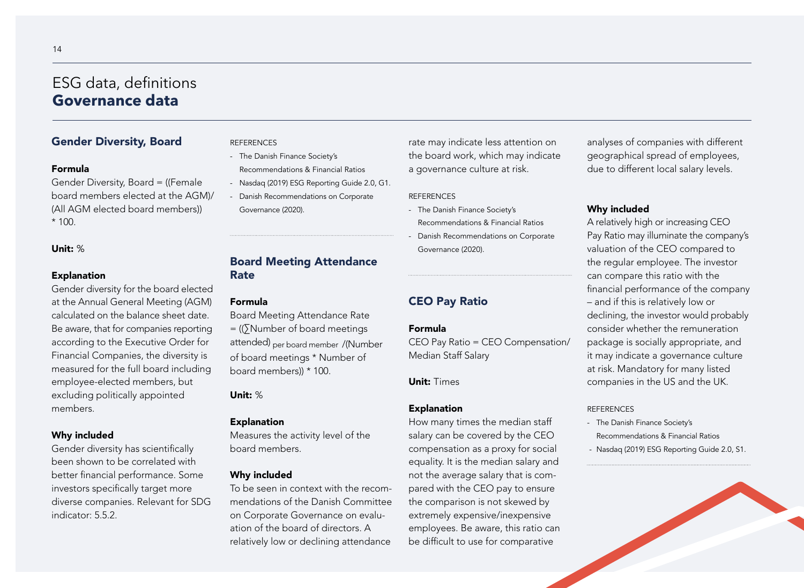## ESG data, definitions **Governance data**

#### Gender Diversity, Board

#### Formula

Gender Diversity, Board = ((Female board members elected at the AGM)/ (All AGM elected board members))  $* 100.$ 

#### Unit: %

#### Explanation

Gender diversity for the board elected at the Annual General Meeting (AGM) calculated on the balance sheet date. Be aware, that for companies reporting according to the Executive Order for Financial Companies, the diversity is measured for the full board including employee-elected members, but excluding politically appointed members.

#### Why included

Gender diversity has scientifically been shown to be correlated with better financial performance. Some investors specifically target more diverse companies. Relevant for SDG indicator: 5.5.2.

#### **REFERENCES**

- The Danish Finance Society's
- Recommendations & Financial Ratios
- Nasdaq (2019) ESG Reporting Guide 2.0, G1.
- Danish Recommendations on Corporate Governance (2020).

rate may indicate less attention on the board work, which may indicate a governance culture at risk.

#### **REFERENCES**

- The Danish Finance Society's Recommendations & Financial Ratios
- Danish Recommendations on Corporate Governance (2020).

#### CEO Pay Ratio

CEO Pay Ratio = CEO Compensation/ Median Staff Salary

#### Unit: Times

#### Explanation

How many times the median staff salary can be covered by the CEO compensation as a proxy for social equality. It is the median salary and not the average salary that is compared with the CEO pay to ensure the comparison is not skewed by extremely expensive/inexpensive employees. Be aware, this ratio can be difficult to use for comparative

analyses of companies with different geographical spread of employees, due to different local salary levels.

#### Why included

A relatively high or increasing CEO Pay Ratio may illuminate the company's valuation of the CEO compared to the regular employee. The investor can compare this ratio with the financial performance of the company – and if this is relatively low or declining, the investor would probably consider whether the remuneration package is socially appropriate, and it may indicate a governance culture at risk. Mandatory for many listed companies in the US and the UK.

#### **REFERENCES**

- The Danish Finance Society's Recommendations & Financial Ratios
- Nasdaq (2019) ESG Reporting Guide 2.0, S1.



### Board Meeting Attendance Rate

#### Formula

Board Meeting Attendance Rate = ((∑Number of board meetings attended) per board member /(Number of board meetings \* Number of board members)) \* 100.

Unit: %

#### Explanation

Measures the activity level of the board members.

#### Why included

To be seen in context with the recommendations of the Danish Committee on Corporate Governance on evaluation of the board of directors. A relatively low or declining attendance

#### Formula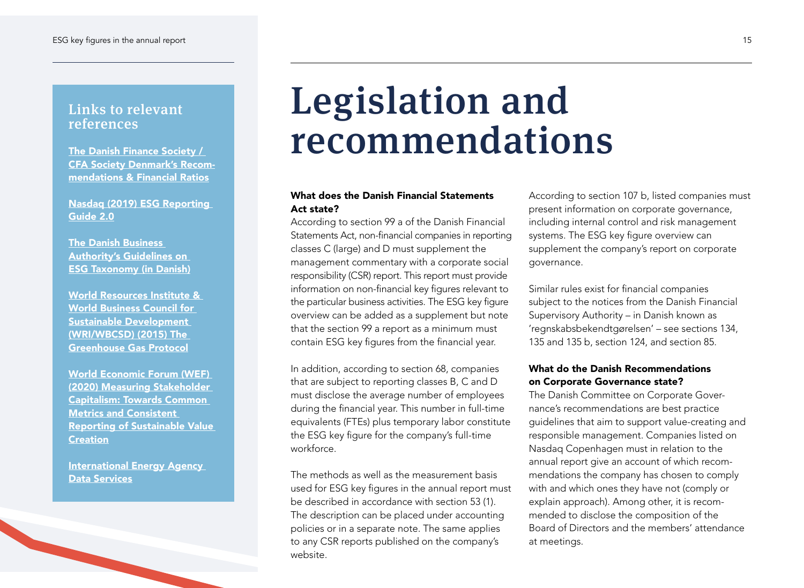### Links to relevant references

[CFA Society Denmark's Recom](https://www.keyratios.org/esg-key-figures)[mendations & Financial Ratios](https://www.keyratios.org/esg-key-figures)

[Nasdaq \(2019\) ESG Reporting](https://www.nasdaq.com/ESG-Guide)  [Guide 2.0](https://www.nasdaq.com/ESG-Guide)

[The Danish Business](https://erhvervsstyrelsen.dk/vejledning-vejledning-om-esg-taksonomi)  [Authority's Guidelines on](https://erhvervsstyrelsen.dk/vejledning-vejledning-om-esg-taksonomi)  [ESG Taxonomy \(in Danish\)](https://erhvervsstyrelsen.dk/vejledning-vejledning-om-esg-taksonomi)

[World Resources Institute &](https://ghgprotocol.org/corporate-standard)  [World Business Council for](https://ghgprotocol.org/corporate-standard)  [Sustainable Development](https://ghgprotocol.org/corporate-standard)  [\(WRI/WBCSD\) \(2015\) The](https://ghgprotocol.org/corporate-standard)  [Greenhouse Gas Protocol](https://ghgprotocol.org/corporate-standard)

[World Economic Forum \(WEF\)](https://www.weforum.org/reports/measuring-stakeholder-capitalism-towards-common-metrics-and-consistent-reporting-of-sustainable-value-creation)  [\(2020\) Measuring Stakeholder](https://www.weforum.org/reports/measuring-stakeholder-capitalism-towards-common-metrics-and-consistent-reporting-of-sustainable-value-creation)  [Capitalism: Towards Common](https://www.weforum.org/reports/measuring-stakeholder-capitalism-towards-common-metrics-and-consistent-reporting-of-sustainable-value-creation)  [Metrics and Consistent](https://www.weforum.org/reports/measuring-stakeholder-capitalism-towards-common-metrics-and-consistent-reporting-of-sustainable-value-creation)  [Reporting of Sustainable Value](https://www.weforum.org/reports/measuring-stakeholder-capitalism-towards-common-metrics-and-consistent-reporting-of-sustainable-value-creation)  **[Creation](https://www.weforum.org/reports/measuring-stakeholder-capitalism-towards-common-metrics-and-consistent-reporting-of-sustainable-value-creation)** 

**International Energy Agency** [Data Services](https://www.iea.org/subscribe-to-data-services)

## Legislation and [The Danish Finance Society /](https://www.keyratios.org/esg-key-figures) **recommendations**

#### What does the Danish Financial Statements Act state?

According to section 99 a of the Danish Financial Statements Act, non-financial companies in reporting classes C (large) and D must supplement the management commentary with a corporate social responsibility (CSR) report. This report must provide information on non-financial key figures relevant to the particular business activities. The ESG key figure overview can be added as a supplement but note that the section 99 a report as a minimum must contain ESG key figures from the financial year.

In addition, according to section 68, companies that are subject to reporting classes B, C and D must disclose the average number of employees during the financial year. This number in full-time equivalents (FTEs) plus temporary labor constitute the ESG key figure for the company's full-time workforce.

The methods as well as the measurement basis used for ESG key figures in the annual report must be described in accordance with section 53 (1). The description can be placed under accounting policies or in a separate note. The same applies to any CSR reports published on the company's website.

According to section 107 b, listed companies must present information on corporate governance, including internal control and risk management systems. The ESG key figure overview can supplement the company's report on corporate governance.

Similar rules exist for financial companies subject to the notices from the Danish Financial Supervisory Authority – in Danish known as 'regnskabsbekendtgørelsen' – see sections 134, 135 and 135 b, section 124, and section 85.

#### What do the Danish Recommendations on Corporate Governance state?

The Danish Committee on Corporate Governance's recommendations are best practice guidelines that aim to support value-creating and responsible management. Companies listed on Nasdaq Copenhagen must in relation to the annual report give an account of which recommendations the company has chosen to comply with and which ones they have not (comply or explain approach). Among other, it is recommended to disclose the composition of the Board of Directors and the members' attendance at meetings.